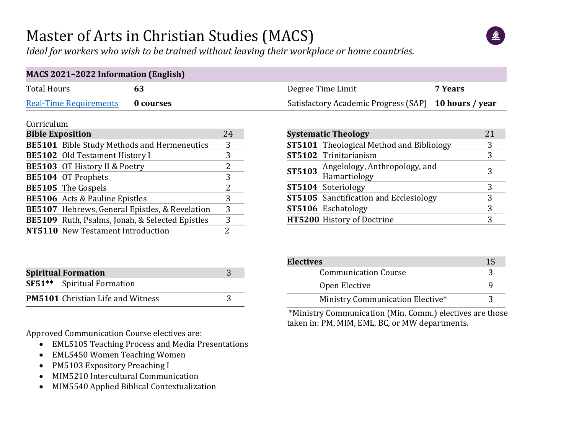## Master of Arts in Christian Studies (MACS)

*Ideal for workers who wish to be trained without leaving their workplace or home countries.*



#### **MACS 2021–2022 Information (English)** Total Hours **63 63 Degree Time Limit 63 Degree Time Limit 7 Years** [Real-Time Requirements](https://students.dts.edu/advising/degree-planning/#realtime) **0 courses 10 movements 10 movements 10 movements 10 kours / year**

#### Curriculum

| <b>Bible Exposition</b> |                                                    | 24            |
|-------------------------|----------------------------------------------------|---------------|
|                         | <b>BE5101</b> Bible Study Methods and Hermeneutics | 3             |
|                         | <b>BE5102</b> Old Testament History I              | 3             |
|                         | BE5103 OT History II & Poetry                      | 2             |
|                         | BE5104 OT Prophets                                 | 3             |
|                         | <b>BE5105</b> The Gospels                          | $\mathcal{L}$ |
|                         | <b>BE5106</b> Acts & Pauline Epistles              | 3             |
|                         | BE5107 Hebrews, General Epistles, & Revelation     | 3             |
|                         | BE5109 Ruth, Psalms, Jonah, & Selected Epistles    | 3             |
|                         | NT5110 New Testament Introduction                  |               |

| <b>Spiritual Formation</b>               |  |
|------------------------------------------|--|
| <b>SF51**</b> Spiritual Formation        |  |
| <b>PM5101</b> Christian Life and Witness |  |

Approved Communication Course electives are:

- EML5105 Teaching Process and Media Presentations
- EML5450 Women Teaching Women
- PM5103 Expository Preaching I
- MIM5210 Intercultural Communication
- MIM5540 Applied Biblical Contextualization

| <b>Systematic Theology</b> |                                                 |   |  |  |  |  |  |  |  |
|----------------------------|-------------------------------------------------|---|--|--|--|--|--|--|--|
|                            | <b>ST5101</b> Theological Method and Bibliology |   |  |  |  |  |  |  |  |
|                            | ST5102 Trinitarianism                           | 3 |  |  |  |  |  |  |  |
| <b>ST5103</b>              | Angelology, Anthropology, and<br>Hamartiology   | 3 |  |  |  |  |  |  |  |
|                            | ST5104 Soteriology                              |   |  |  |  |  |  |  |  |
|                            | <b>ST5105</b> Sanctification and Ecclesiology   | 3 |  |  |  |  |  |  |  |
|                            | ST5106 Eschatology                              | 3 |  |  |  |  |  |  |  |
|                            | HT5200 History of Doctrine                      |   |  |  |  |  |  |  |  |

| <b>Electives</b>                 |  |
|----------------------------------|--|
| <b>Communication Course</b>      |  |
| Open Elective                    |  |
| Ministry Communication Elective* |  |

\*Ministry Communication (Min. Comm.) electives are those taken in: PM, MIM, EML, BC, or MW departments.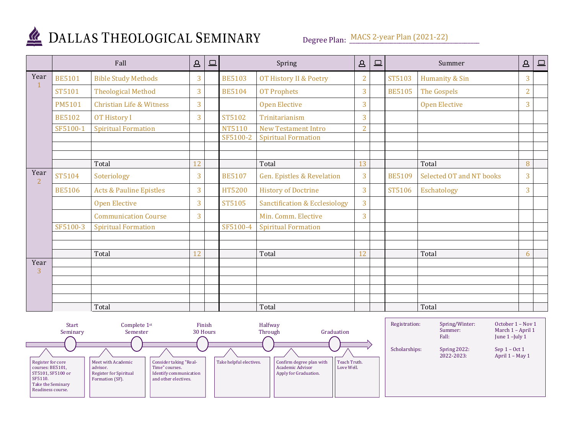

## DALLAS THEOLOGICAL SEMINARY

Degree Plan: MACS 2-year Plan (2021-22)

|           | Fall          |                                     | $\Delta$ | $\Box$ |               | Spring                                   | $\Delta$       | 므 |               | Summer                   | $\Delta$       | $\qquad \qquad \Box$ |
|-----------|---------------|-------------------------------------|----------|--------|---------------|------------------------------------------|----------------|---|---------------|--------------------------|----------------|----------------------|
| Year      | <b>BE5101</b> | <b>Bible Study Methods</b>          | 3        |        | <b>BE5103</b> | OT History II & Poetry                   | $\overline{2}$ |   | ST5103        | Humanity & Sin           | 3              |                      |
|           | ST5101        | <b>Theological Method</b>           | 3        |        | <b>BE5104</b> | <b>OT Prophets</b>                       | 3              |   | <b>BE5105</b> | The Gospels              | $\overline{2}$ |                      |
|           | <b>PM5101</b> | <b>Christian Life &amp; Witness</b> | 3        |        |               | <b>Open Elective</b>                     | 3              |   |               | <b>Open Elective</b>     | $\overline{3}$ |                      |
|           | <b>BE5102</b> | <b>OT History I</b>                 | 3        |        | ST5102        | Trinitarianism                           | 3              |   |               |                          |                |                      |
|           | SF5100-1      | <b>Spiritual Formation</b>          |          |        | NT5110        | <b>New Testament Intro</b>               | $\overline{2}$ |   |               |                          |                |                      |
|           |               |                                     |          |        | SF5100-2      | <b>Spiritual Formation</b>               |                |   |               |                          |                |                      |
|           |               |                                     |          |        |               |                                          |                |   |               |                          |                |                      |
|           |               | Total                               | 12       |        |               | Total                                    | 13             |   |               | Total                    | 8              |                      |
| Year<br>2 | ST5104        | Soteriology                         | 3        |        | <b>BE5107</b> | Gen. Epistles & Revelation               | 3              |   | <b>BE5109</b> | Selected OT and NT books | 3              |                      |
|           | <b>BE5106</b> | <b>Acts &amp; Pauline Epistles</b>  | 3        |        | HT5200        | <b>History of Doctrine</b>               | 3              |   | ST5106        | Eschatology              | $\overline{3}$ |                      |
|           |               | <b>Open Elective</b>                | 3        |        | ST5105        | <b>Sanctification &amp; Ecclesiology</b> | 3              |   |               |                          |                |                      |
|           |               | <b>Communication Course</b>         | 3        |        |               | Min. Comm. Elective                      | 3              |   |               |                          |                |                      |
|           | SF5100-3      | <b>Spiritual Formation</b>          |          |        | SF5100-4      | <b>Spiritual Formation</b>               |                |   |               |                          |                |                      |
|           |               |                                     |          |        |               |                                          |                |   |               |                          |                |                      |
|           |               | Total                               | 12       |        |               | Total                                    | 12             |   |               | Total                    | 6              |                      |
| Year      |               |                                     |          |        |               |                                          |                |   |               |                          |                |                      |
| 3         |               |                                     |          |        |               |                                          |                |   |               |                          |                |                      |
|           |               |                                     |          |        |               |                                          |                |   |               |                          |                |                      |
|           |               |                                     |          |        |               |                                          |                |   |               |                          |                |                      |
|           |               | Total                               |          |        |               | Total                                    |                |   |               | Total                    |                |                      |

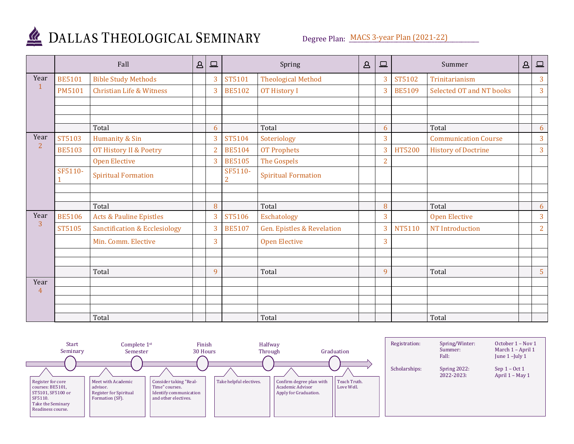

# DALLAS THEOLOGICAL SEMINARY

Degree Plan: MACS 3-year Plan (2021-22)

| Fall          |                                          | $\Delta$                | $\Box$         |                           | Spring                                |                         | 므              |               | Summer                      | $\Delta$                | $\Box$         |
|---------------|------------------------------------------|-------------------------|----------------|---------------------------|---------------------------------------|-------------------------|----------------|---------------|-----------------------------|-------------------------|----------------|
| <b>BE5101</b> | <b>Bible Study Methods</b>               |                         | 3              | ST5101                    | <b>Theological Method</b>             |                         | 3              | ST5102        | Trinitarianism              |                         | 3              |
| <b>PM5101</b> | <b>Christian Life &amp; Witness</b>      |                         | 3              | <b>BE5102</b>             | OT History I                          |                         | 3              | <b>BE5109</b> | Selected OT and NT books    |                         | 3              |
|               |                                          |                         |                |                           |                                       |                         |                |               |                             |                         |                |
|               |                                          |                         |                |                           |                                       |                         |                |               |                             |                         |                |
|               | Total                                    |                         | 6              |                           | Total                                 |                         | 6              |               | Total                       |                         | 6              |
| ST5103        | Humanity & Sin                           |                         | 3              | ST5104                    | Soteriology                           |                         | 3              |               | <b>Communication Course</b> |                         | 3              |
| <b>BE5103</b> | OT History II & Poetry                   |                         | $\overline{2}$ | <b>BE5104</b>             | <b>OT Prophets</b>                    |                         | 3              | HT5200        | <b>History of Doctrine</b>  |                         | $\overline{3}$ |
|               | <b>Open Elective</b>                     |                         | $\overline{3}$ | <b>BE5105</b>             | The Gospels                           |                         | $\overline{2}$ |               |                             |                         |                |
| SF5110-       | <b>Spiritual Formation</b>               |                         |                | SF5110-<br>$\overline{2}$ | <b>Spiritual Formation</b>            |                         |                |               |                             |                         |                |
|               |                                          |                         |                |                           |                                       |                         |                |               |                             |                         |                |
|               |                                          |                         |                |                           |                                       |                         |                |               |                             |                         | 6              |
| <b>BE5106</b> | <b>Acts &amp; Pauline Epistles</b>       |                         | 3              | ST5106                    | Eschatology                           |                         | 3              |               | <b>Open Elective</b>        |                         | 3              |
| ST5105        | <b>Sanctification &amp; Ecclesiology</b> |                         | 3              | <b>BE5107</b>             | <b>Gen. Epistles &amp; Revelation</b> |                         | 3              | NT5110        | NT Introduction             |                         | $\overline{2}$ |
|               | Min. Comm. Elective                      |                         | 3              |                           | <b>Open Elective</b>                  |                         | 3              |               |                             |                         |                |
|               |                                          |                         |                |                           |                                       |                         |                |               |                             |                         |                |
|               |                                          |                         |                |                           |                                       |                         |                |               |                             |                         | 5 <sup>5</sup> |
|               |                                          |                         |                |                           |                                       |                         |                |               |                             |                         |                |
|               |                                          |                         |                |                           |                                       |                         |                |               |                             |                         |                |
|               |                                          |                         |                |                           |                                       |                         |                |               |                             |                         |                |
|               |                                          |                         |                |                           |                                       |                         |                |               |                             |                         |                |
|               |                                          | Total<br>Total<br>Total |                | 8<br>9                    |                                       | Total<br>Total<br>Total | $\Delta$       | 8<br>9        |                             | Total<br>Total<br>Total |                |

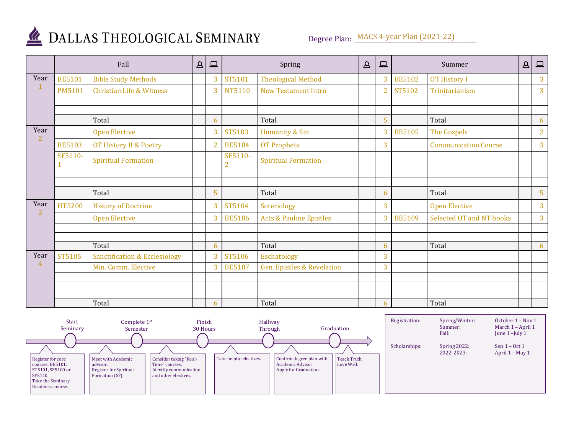

# DALLAS THEOLOGICAL SEMINARY

Degree Plan: MACS 4-year Plan (2021-22)

|                | Fall          |                                          | $\Delta$ | $\qquad \qquad \Box$ |                           | Spring                                |  | $\Box$         | Summer        |                             |  | $\Box$         |
|----------------|---------------|------------------------------------------|----------|----------------------|---------------------------|---------------------------------------|--|----------------|---------------|-----------------------------|--|----------------|
| Year           | <b>BE5101</b> | <b>Bible Study Methods</b>               |          | 3                    | ST5101                    | <b>Theological Method</b>             |  | 3              | <b>BE5102</b> | <b>OT History I</b>         |  | 3              |
|                | <b>PM5101</b> | <b>Christian Life &amp; Witness</b>      |          | 3                    | NT5110                    | <b>New Testament Intro</b>            |  | $\overline{2}$ | ST5102        | Trinitarianism              |  | $\overline{3}$ |
|                |               |                                          |          |                      |                           |                                       |  |                |               |                             |  |                |
|                |               | Total                                    |          | 6                    |                           | Total                                 |  | 5              |               | Total                       |  | 6              |
| Year           |               | <b>Open Elective</b>                     |          | 3                    | ST5103                    | Humanity & Sin                        |  | $\overline{3}$ | <b>BE5105</b> | The Gospels                 |  | $\overline{2}$ |
| $\overline{2}$ | <b>BE5103</b> | OT History II & Poetry                   |          | $\overline{2}$       | <b>BE5104</b>             | <b>OT Prophets</b>                    |  | 3              |               | <b>Communication Course</b> |  | $\overline{3}$ |
|                | SF5110-       | <b>Spiritual Formation</b>               |          |                      | SF5110-<br>$\overline{2}$ | <b>Spiritual Formation</b>            |  |                |               |                             |  |                |
|                |               |                                          |          |                      |                           |                                       |  |                |               |                             |  |                |
|                |               | Total                                    |          | 5                    |                           | Total                                 |  | 6              |               | Total                       |  | 5              |
| Year           | <b>HT5200</b> | <b>History of Doctrine</b>               |          | 3                    | ST5104                    | Soteriology                           |  | 3              |               | <b>Open Elective</b>        |  | $\overline{3}$ |
| 3              |               | <b>Open Elective</b>                     |          | 3                    | <b>BE5106</b>             | <b>Acts &amp; Pauline Epistles</b>    |  | 3              | <b>BE5109</b> | Selected OT and NT books    |  | $\overline{3}$ |
|                |               |                                          |          |                      |                           |                                       |  |                |               |                             |  |                |
|                |               | Total                                    |          | 6                    |                           | Total                                 |  | 6              |               | Total                       |  | 6              |
| Year           | ST5105        | <b>Sanctification &amp; Ecclesiology</b> |          | 3                    | ST5106                    | Eschatology                           |  | 3              |               |                             |  |                |
| $\overline{4}$ |               | Min. Comm. Elective                      |          | 3                    | <b>BE5107</b>             | <b>Gen. Epistles &amp; Revelation</b> |  | 3              |               |                             |  |                |
|                |               |                                          |          |                      |                           |                                       |  |                |               |                             |  |                |
|                |               |                                          |          |                      |                           |                                       |  |                |               |                             |  |                |
|                |               | Total                                    |          | 6                    |                           | Total                                 |  | 6              |               | Total                       |  |                |